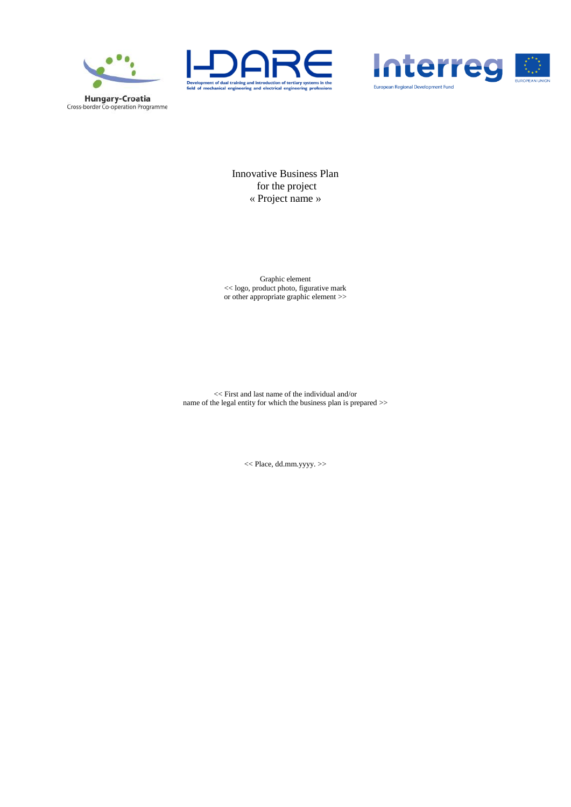





Innovative Business Plan for the project « Project name »

Graphic element << logo, product photo, figurative mark or other appropriate graphic element >>

<< First and last name of the individual and/or name of the legal entity for which the business plan is prepared >>

<< Place, dd.mm.yyyy. >>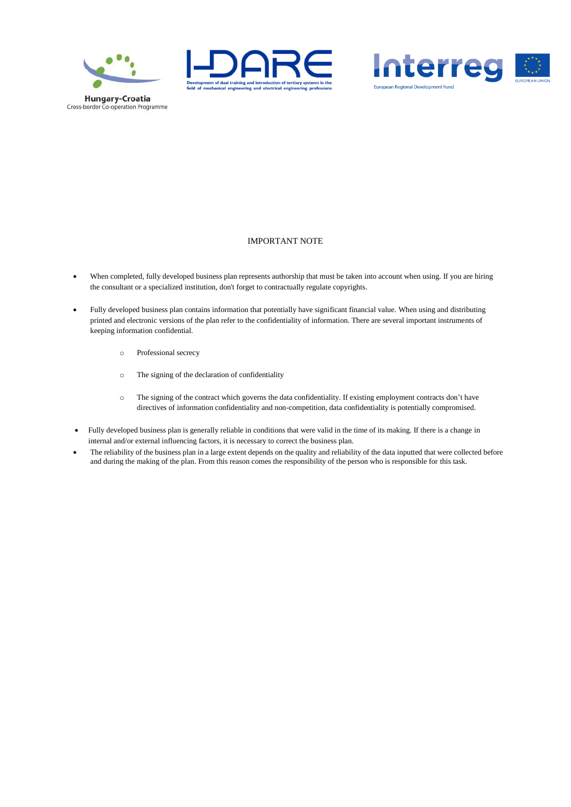





#### IMPORTANT NOTE

- When completed, fully developed business plan represents authorship that must be taken into account when using. If you are hiring the consultant or a specialized institution, don't forget to contractually regulate copyrights.
- Fully developed business plan contains information that potentially have significant financial value. When using and distributing printed and electronic versions of the plan refer to the confidentiality of information. There are several important instruments of keeping information confidential.
	- o Professional secrecy
	- o The signing of the declaration of confidentiality
	- o The signing of the contract which governs the data confidentiality. If existing employment contracts don't have directives of information confidentiality and non-competition, data confidentiality is potentially compromised.
- Fully developed business plan is generally reliable in conditions that were valid in the time of its making. If there is a change in internal and/or external influencing factors, it is necessary to correct the business plan.
- The reliability of the business plan in a large extent depends on the quality and reliability of the data inputted that were collected before and during the making of the plan. From this reason comes the responsibility of the person who is responsible for this task.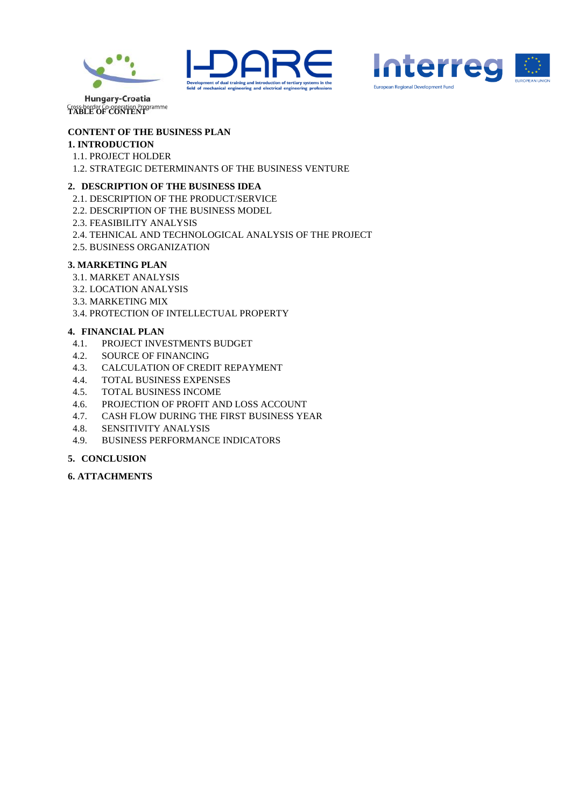





Cross-border Co-operation Programme<br>TABLE OF CONTENT

# **CONTENT OF THE BUSINESS PLAN**

## **1. INTRODUCTION**

- 1.1. PROJECT HOLDER
- 1.2. STRATEGIC DETERMINANTS OF THE BUSINESS VENTURE

# **2. DESCRIPTION OF THE BUSINESS IDEA**

- 2.1. DESCRIPTION OF THE PRODUCT/SERVICE
- 2.2. DESCRIPTION OF THE BUSINESS MODEL
- 2.3. FEASIBILITY ANALYSIS
- 2.4. TEHNICAL AND TECHNOLOGICAL ANALYSIS OF THE PROJECT
- 2.5. BUSINESS ORGANIZATION

## **3. MARKETING PLAN**

- 3.1. MARKET ANALYSIS
- 3.2. LOCATION ANALYSIS
- 3.3. MARKETING MIX
- 3.4. PROTECTION OF INTELLECTUAL PROPERTY

# **4. FINANCIAL PLAN**

- 4.1. PROJECT INVESTMENTS BUDGET
- 4.2. SOURCE OF FINANCING
- 4.3. CALCULATION OF CREDIT REPAYMENT
- 4.4. TOTAL BUSINESS EXPENSES
- 4.5. TOTAL BUSINESS INCOME
- 4.6. PROJECTION OF PROFIT AND LOSS ACCOUNT
- 4.7. CASH FLOW DURING THE FIRST BUSINESS YEAR
- 4.8. SENSITIVITY ANALYSIS
- 4.9. BUSINESS PERFORMANCE INDICATORS

# **5. CONCLUSION**

**6. ATTACHMENTS**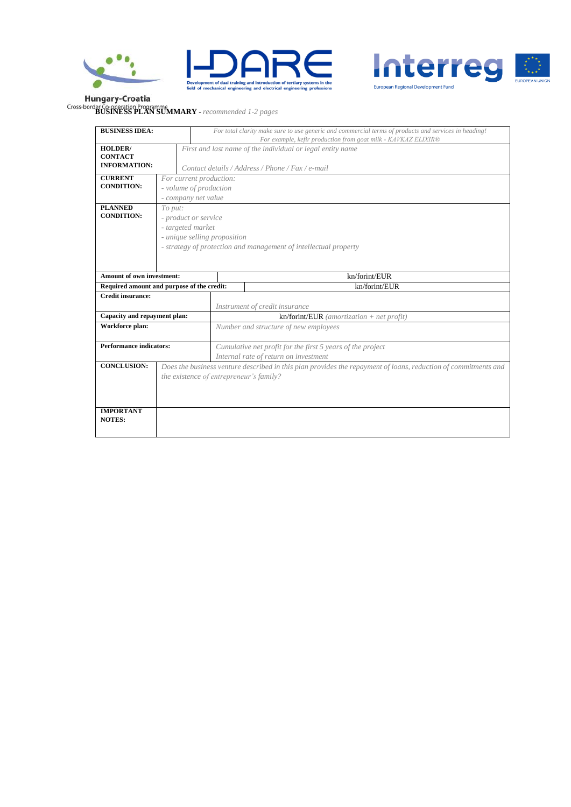





**BUSINESS PLAN SUMMARY -** *recommended 1-2 pages*

| <b>BUSINESS IDEA:</b>                      |                                                                  |                                         | For total clarity make sure to use generic and commercial terms of products and services in heading!<br>For example, kefir production from goat milk - KAVKAZ ELIXIR® |  |  |  |  |
|--------------------------------------------|------------------------------------------------------------------|-----------------------------------------|-----------------------------------------------------------------------------------------------------------------------------------------------------------------------|--|--|--|--|
| <b>HOLDER</b> /                            |                                                                  |                                         | First and last name of the individual or legal entity name                                                                                                            |  |  |  |  |
| <b>CONTACT</b>                             |                                                                  |                                         |                                                                                                                                                                       |  |  |  |  |
| <b>INFORMATION:</b>                        |                                                                  |                                         | Contact details / Address / Phone / Fax / e-mail                                                                                                                      |  |  |  |  |
| <b>CURRENT</b>                             |                                                                  | For current production:                 |                                                                                                                                                                       |  |  |  |  |
| <b>CONDITION:</b>                          |                                                                  | - volume of production                  |                                                                                                                                                                       |  |  |  |  |
|                                            |                                                                  | - company net value                     |                                                                                                                                                                       |  |  |  |  |
| <b>PLANNED</b><br><b>CONDITION:</b>        | To put:                                                          |                                         |                                                                                                                                                                       |  |  |  |  |
|                                            |                                                                  | - product or service                    |                                                                                                                                                                       |  |  |  |  |
|                                            |                                                                  | - targeted market                       |                                                                                                                                                                       |  |  |  |  |
|                                            |                                                                  | - unique selling proposition            |                                                                                                                                                                       |  |  |  |  |
|                                            | - strategy of protection and management of intellectual property |                                         |                                                                                                                                                                       |  |  |  |  |
|                                            |                                                                  |                                         |                                                                                                                                                                       |  |  |  |  |
| <b>Amount of own investment:</b>           |                                                                  |                                         | kn/forint/EUR                                                                                                                                                         |  |  |  |  |
| Required amount and purpose of the credit: |                                                                  |                                         | kn/forint/EUR                                                                                                                                                         |  |  |  |  |
| Credit insurance:                          |                                                                  |                                         |                                                                                                                                                                       |  |  |  |  |
|                                            |                                                                  |                                         | Instrument of credit insurance                                                                                                                                        |  |  |  |  |
| Capacity and repayment plan:               |                                                                  |                                         | $kn/$ forint/EUR (amortization + net profit)                                                                                                                          |  |  |  |  |
| Workforce plan:                            |                                                                  |                                         | Number and structure of new employees                                                                                                                                 |  |  |  |  |
|                                            |                                                                  |                                         |                                                                                                                                                                       |  |  |  |  |
| <b>Performance indicators:</b>             |                                                                  |                                         | Cumulative net profit for the first 5 years of the project                                                                                                            |  |  |  |  |
|                                            |                                                                  |                                         | Internal rate of return on investment                                                                                                                                 |  |  |  |  |
| <b>CONCLUSION:</b>                         |                                                                  |                                         | Does the business venture described in this plan provides the repayment of loans, reduction of commitments and                                                        |  |  |  |  |
|                                            |                                                                  | the existence of entrepreneur's family? |                                                                                                                                                                       |  |  |  |  |
|                                            |                                                                  |                                         |                                                                                                                                                                       |  |  |  |  |
|                                            |                                                                  |                                         |                                                                                                                                                                       |  |  |  |  |
| <b>IMPORTANT</b>                           |                                                                  |                                         |                                                                                                                                                                       |  |  |  |  |
| <b>NOTES:</b>                              |                                                                  |                                         |                                                                                                                                                                       |  |  |  |  |
|                                            |                                                                  |                                         |                                                                                                                                                                       |  |  |  |  |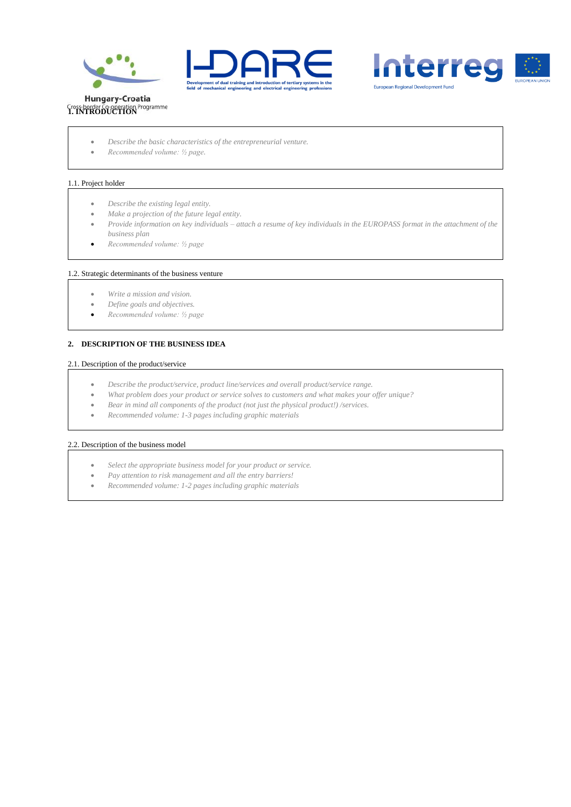





- *Describe the basic characteristics of the entrepreneurial venture.*
- *Recommended volume: ½ page.*

#### 1.1. Project holder

- *Describe the existing legal entity.*
- *Make a projection of the future legal entity.*
- *Provide information on key individuals – attach a resume of key individuals in the EUROPASS format in the attachment of the business plan*
- *Recommended volume: ½ page*

#### 1.2. Strategic determinants of the business venture

- *Write a mission and vision.*
- *Define goals and objectives.*
- *Recommended volume: ½ page*

#### **2. DESCRIPTION OF THE BUSINESS IDEA**

#### 2.1. Description of the product/service

- *Describe the product/service, product line/services and overall product/service range.*
- *What problem does your product or service solves to customers and what makes your offer unique?*
- *Bear in mind all components of the product (not just the physical product!) /services.*
- *Recommended volume: 1-3 pages including graphic materials*

#### 2.2. Description of the business model

- *Select the appropriate business model for your product or service.*
- *Pay attention to risk management and all the entry barriers!*
- *Recommended volume: 1-2 pages including graphic materials*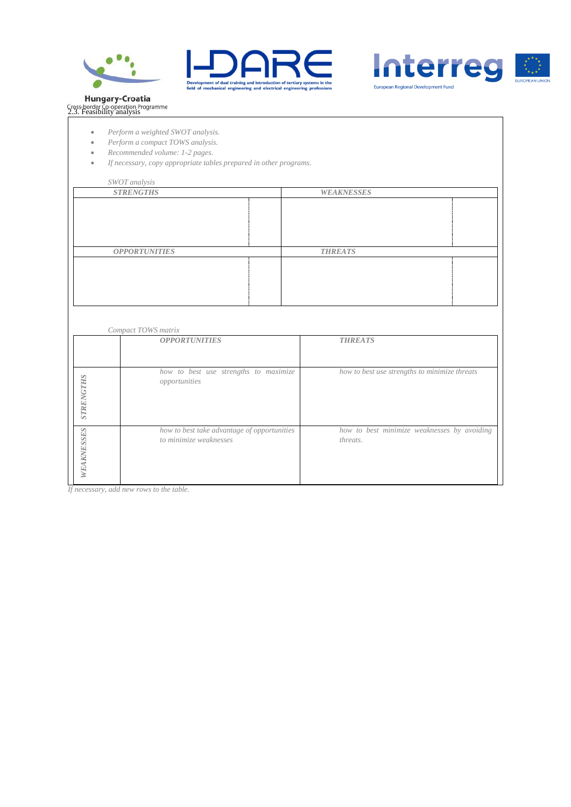





# **Hungary-Croatia**<br>Cross-border Co-operation Programme<br>2.3. Feasibility analysis

- *Perform a weighted SWOT analysis.*
- *Perform a compact TOWS analysis.*
- *Recommended volume: 1-2 pages.*
- *If necessary, copy appropriate tables prepared in other programs.*

*SWOT analysis* **WEAKNESSES** *OPPORTUNITIES THREATS*

|                  | Compact TOWS matrix                                                   |                                                         |
|------------------|-----------------------------------------------------------------------|---------------------------------------------------------|
|                  | <b>OPPORTUNITIES</b>                                                  | <b>THREATS</b>                                          |
| <b>STRENGTHS</b> | how to best use strengths to maximize<br>opportunities                | how to best use strengths to minimize threats           |
| WEAKNESSES       | how to best take advantage of opportunities<br>to minimize weaknesses | how to best minimize weaknesses by avoiding<br>threats. |

*If necessary, add new rows to the table.*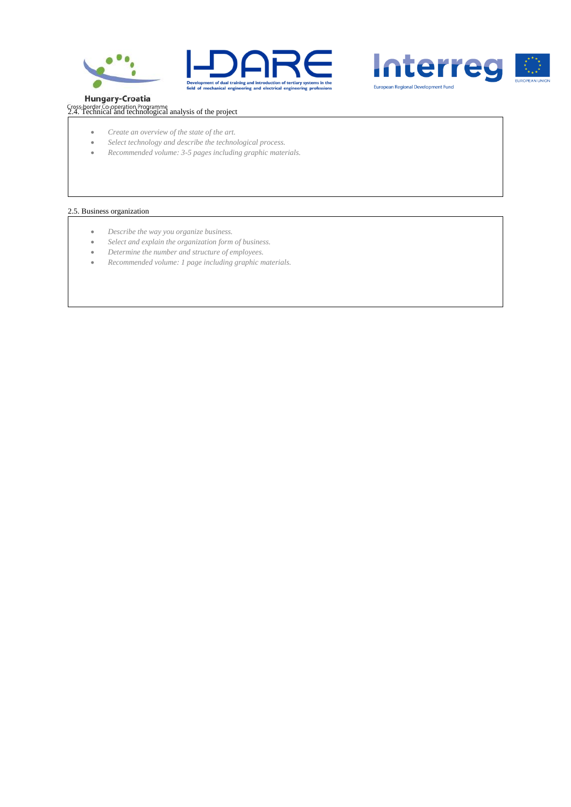





**Hungary-Croatia** 

cross-border Co-operation Programme<br>2.4. Technical and technological analysis of the project

- *Create an overview of the state of the art.*
- *Select technology and describe the technological process.*
- *Recommended volume: 3-5 pages including graphic materials.*

#### 2.5. Business organization

- *Describe the way you organize business.*
- *Select and explain the organization form of business.*
- *Determine the number and structure of employees.*
- *Recommended volume: 1 page including graphic materials.*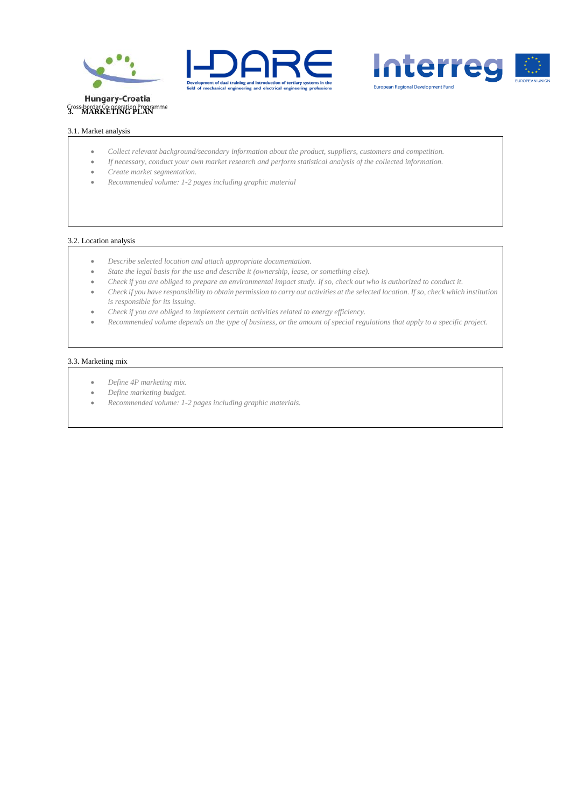





## 3.1. Market analysis

- *Collect relevant background/secondary information about the product, suppliers, customers and competition.*
- *If necessary, conduct your own market research and perform statistical analysis of the collected information.*
- *Create market segmentation.*
- *Recommended volume: 1-2 pages including graphic material*

#### 3.2. Location analysis

- *Describe selected location and attach appropriate documentation.*
- *State the legal basis for the use and describe it (ownership, lease, or something else).*
- *Check if you are obliged to prepare an environmental impact study. If so, check out who is authorized to conduct it.*
- *Check if you have responsibility to obtain permission to carry out activities at the selected location. If so, check which institution is responsible for its issuing.*
- *Check if you are obliged to implement certain activities related to energy efficiency.*
- *Recommended volume depends on the type of business, or the amount of special regulations that apply to a specific project.*

#### 3.3. Marketing mix

- *Define 4P marketing mix.*
- *Define marketing budget.*
- *Recommended volume: 1-2 pages including graphic materials.*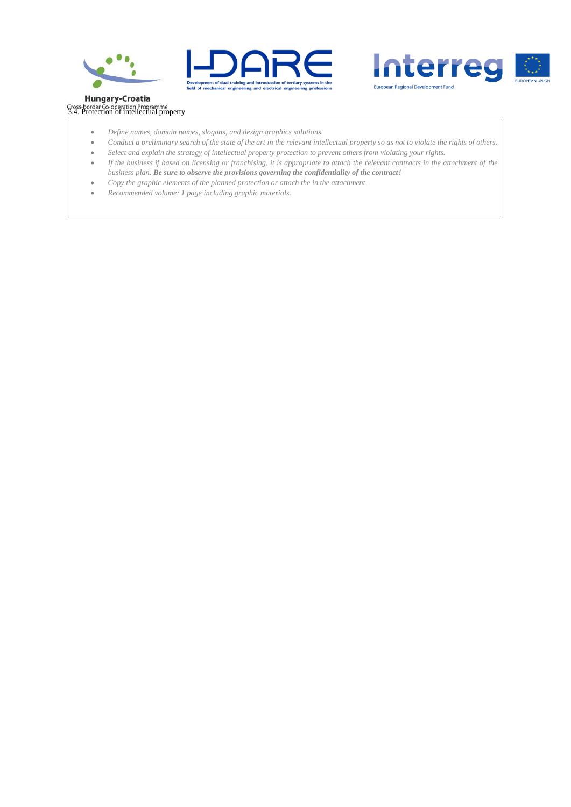





# **Hungary-Croatia** Cross-border Co-operation Programme<br>3.4. Protection of intellectual property

- *Define names, domain names, slogans, and design graphics solutions.*
- Conduct a preliminary search of the state of the art in the relevant intellectual property so as not to violate the rights of others.
- *Select and explain the strategy of intellectual property protection to prevent others from violating your rights.*
- *If the business if based on licensing or franchising, it is appropriate to attach the relevant contracts in the attachment of the business plan. Be sure to observe the provisions governing the confidentiality of the contract!*
- *Copy the graphic elements of the planned protection or attach the in the attachment.*
- *Recommended volume: 1 page including graphic materials.*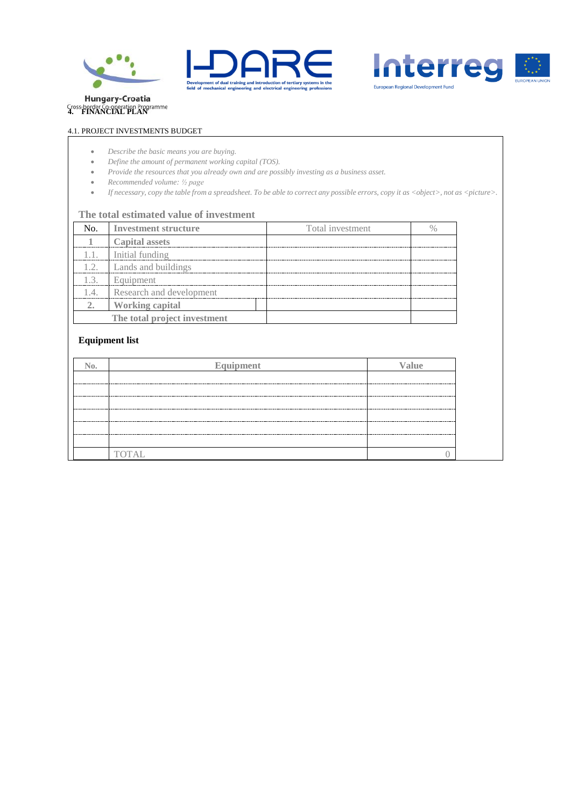





# 4.1. PROJECT INVESTMENTS BUDGET

- *Describe the basic means you are buying.*
- *Define the amount of permanent working capital (TOS).*
- *Provide the resources that you already own and are possibly investing as a business asset.*
- *Recommended volume: ½ page*
- *If necessary, copy the table from a spreadsheet. To be able to correct any possible errors, copy it as <object>, not as <picture>.*

#### **The total estimated value of investment**

|    | No. Investment structure      | Total investment |  |
|----|-------------------------------|------------------|--|
|    | <b>Capital assets</b>         |                  |  |
|    | 1.1. Initial funding          |                  |  |
|    | 1.2. Lands and buildings      |                  |  |
| 13 | Equipment                     |                  |  |
|    | 1.4. Research and development |                  |  |
|    | <b>Working capital</b>        |                  |  |
|    | The total project investment  |                  |  |

# **Equipment list**

| $\mathbb{N}_0$ .   | Equipment    | Value |
|--------------------|--------------|-------|
|                    |              |       |
| ------------------ |              |       |
|                    |              |       |
|                    |              |       |
|                    |              |       |
|                    |              |       |
|                    | <b>TOTAL</b> |       |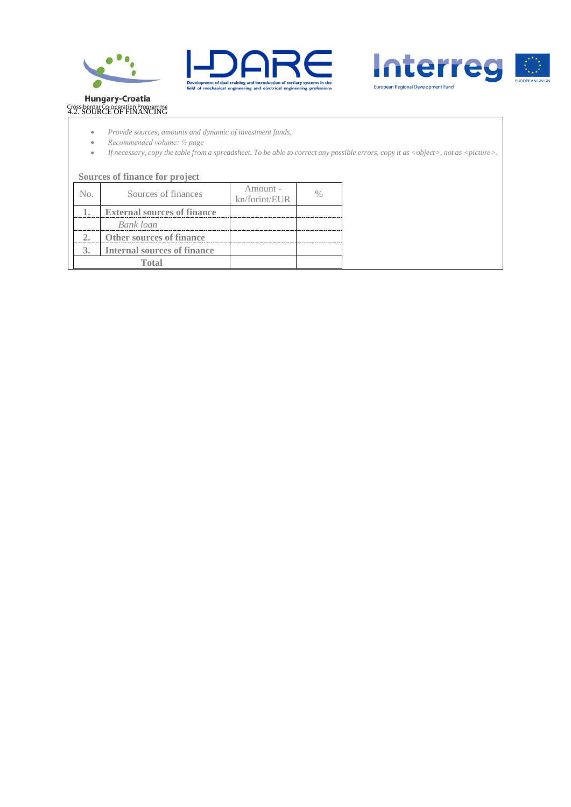





# Hungary-Croatia<br>Cross-border Co-operation Programme<br>4.2. SOURCE OF FINANCING

- *Provide sources, amounts and dynamic of investment funds.*
- *Recommended volume: ½ page*
- *If necessary, copy the table from a spreadsheet. To be able to correct any possible errors, copy it as <object>, not as <picture>.*

|     | Sources of finance for project     |                           |  |
|-----|------------------------------------|---------------------------|--|
| No. | Sources of finances                | Amount -<br>kn/forint/EUR |  |
|     | <b>External sources of finance</b> |                           |  |
|     | Bank loan                          |                           |  |
|     | <b>Other sources of finance</b>    |                           |  |
| 3.  | <b>Internal sources of finance</b> |                           |  |
|     | Total                              |                           |  |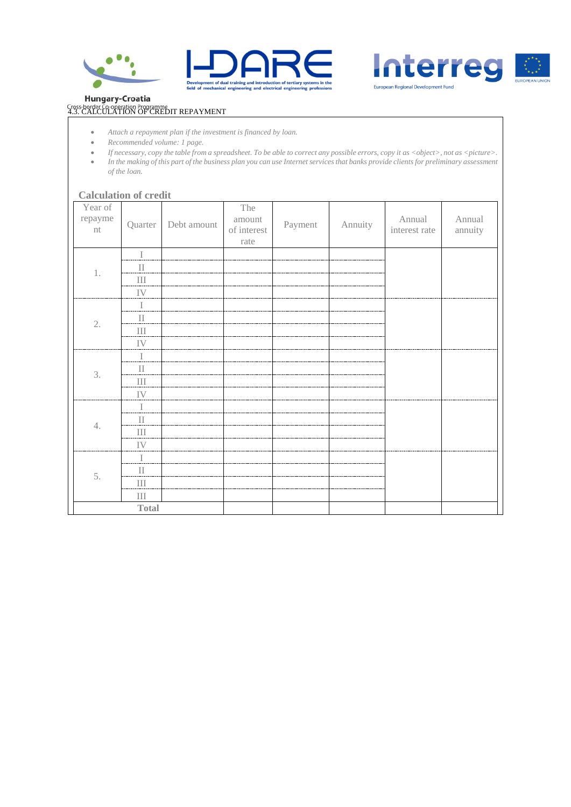





**Hungary-Croatia** 

# Gross-border Co-operation Programme<br>4.3. CALCULATION OF CREDIT REPAYMENT

- *Attach a repayment plan if the investment is financed by loan.*
- *Recommended volume: 1 page.*
- *If necessary, copy the table from a spreadsheet. To be able to correct any possible errors, copy it as <object>, not as <picture>.*
- *In the making of this part of the business plan you can use Internet services that banks provide clients for preliminary assessment of the loan.*

# **Calculation of credit**

| Year of<br>repayme<br>nt | Quarter         | Debt amount | The<br>amount<br>of interest<br>rate | Payment | Annuity | Annual<br>interest rate | Annual<br>annuity |
|--------------------------|-----------------|-------------|--------------------------------------|---------|---------|-------------------------|-------------------|
|                          | $\mathbb I$     |             |                                      |         |         |                         |                   |
| $1$ .                    | $\mathbf{I}$    |             |                                      |         |         |                         |                   |
|                          | $\rm III$       |             |                                      |         |         |                         |                   |
|                          | ${\rm IV}$      |             |                                      |         |         |                         |                   |
|                          | $\bf I$         |             |                                      |         |         |                         |                   |
| 2.                       | $\rm II$        |             |                                      |         |         |                         |                   |
|                          | $\rm III$       |             |                                      |         |         |                         |                   |
|                          | IV              |             |                                      |         |         |                         |                   |
|                          | $\bf I$         |             |                                      |         |         |                         |                   |
| 3.                       | $\rm II$        |             |                                      |         |         |                         |                   |
|                          | $\rm III$       |             |                                      |         |         |                         |                   |
|                          | IV              |             |                                      |         |         |                         |                   |
|                          | $\bf I$         |             |                                      |         |         |                         |                   |
| 4.                       | $\prod$         |             |                                      |         |         |                         |                   |
|                          | $\rm III$       |             |                                      |         |         |                         |                   |
|                          | ${\rm IV}$      |             |                                      |         |         |                         |                   |
|                          | $\bf I$         |             |                                      |         |         |                         |                   |
| 5.                       | $\rm II$        |             |                                      |         |         |                         |                   |
|                          | $\prod \limits$ |             |                                      |         |         |                         |                   |
|                          | $\rm III$       |             |                                      |         |         |                         |                   |
|                          | <b>Total</b>    |             |                                      |         |         |                         |                   |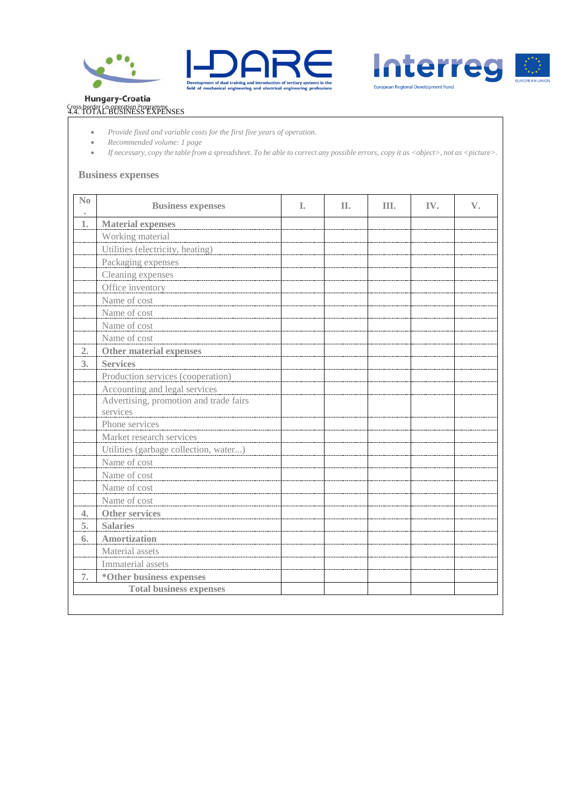





# Hungary-Croatia<br>
Gross-border Co-operation Programme<br>
4.4. TOTAL BUSINESS EXPENSES

- *Provide fixed and variable costs for the first five years of operation.*
- *Recommended volume: 1 page*
- *If necessary, copy the table from a spreadsheet. To be able to correct any possible errors, copy it as <object>, not as <picture>.*

## **Business expenses**

| No               | <b>Business expenses</b>               | I. | Π. | III. | IV. | $\mathbf{V}_{\bullet}$ |
|------------------|----------------------------------------|----|----|------|-----|------------------------|
| 1.               | <b>Material expenses</b>               |    |    |      |     |                        |
|                  | Working material                       |    |    |      |     |                        |
|                  | Utilities (electricity, heating)       |    |    |      |     |                        |
|                  | Packaging expenses                     |    |    |      |     |                        |
|                  | Cleaning expenses                      |    |    |      |     |                        |
|                  | Office inventory                       |    |    |      |     |                        |
|                  | Name of cost                           |    |    |      |     |                        |
|                  | Name of cost                           |    |    |      |     |                        |
|                  | Name of cost                           |    |    |      |     |                        |
|                  | Name of cost                           |    |    |      |     |                        |
| 2.               | Other material expenses                |    |    |      |     |                        |
| 3 <sub>1</sub>   | <b>Services</b>                        |    |    |      |     |                        |
|                  | Production services (cooperation)      |    |    |      |     |                        |
|                  | Accounting and legal services          |    |    |      |     |                        |
|                  | Advertising, promotion and trade fairs |    |    |      |     |                        |
|                  | services                               |    |    |      |     |                        |
|                  | Phone services                         |    |    |      |     |                        |
|                  | Market research services               |    |    |      |     |                        |
|                  | Utilities (garbage collection, water)  |    |    |      |     |                        |
|                  | Name of cost                           |    |    |      |     |                        |
|                  | Name of cost                           |    |    |      |     |                        |
|                  | Name of cost                           |    |    |      |     |                        |
|                  | Name of cost                           |    |    |      |     |                        |
| $\overline{4}$ . | Other services                         |    |    |      |     |                        |
| 5.               | <b>Salaries</b>                        |    |    |      |     |                        |
| 6.               | Amortization                           |    |    |      |     |                        |
|                  | Material assets                        |    |    |      |     |                        |
|                  | Immaterial assets                      |    |    |      |     |                        |
| 7.               | *Other business expenses               |    |    |      |     |                        |
|                  | <b>Total business expenses</b>         |    |    |      |     |                        |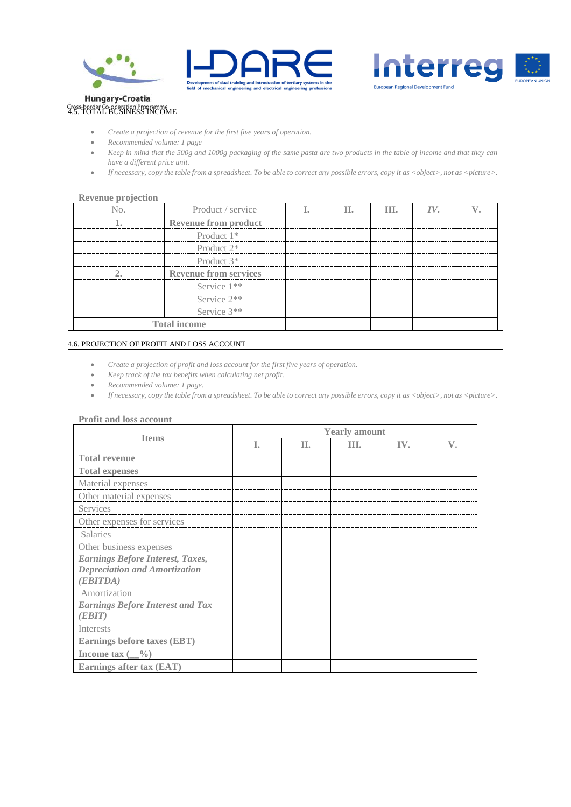





# **Hungary-Croatia** Cross-border Co-operation Programme<br>4.5. TOTAL BUSINESS INCOME

- *Create a projection of revenue for the first five years of operation.*
- *Recommended volume: 1 page*
- *Keep in mind that the 500g and 1000g packaging of the same pasta are two products in the table of income and that they can have a different price unit.*
- *If necessary, copy the table from a spreadsheet. To be able to correct any possible errors, copy it as <object>, not as <picture>.*

# **Revenue projection**

| Product / service            |  | Ш. | IV. |  |
|------------------------------|--|----|-----|--|
| <b>Revenue from product</b>  |  |    |     |  |
| Product $1*$                 |  |    |     |  |
| Product $2^*$                |  |    |     |  |
| Product $3*$                 |  |    |     |  |
| <b>Revenue from services</b> |  |    |     |  |
| Service $1**$                |  |    |     |  |
| Service $2**$                |  |    |     |  |
| Service $3**$                |  |    |     |  |
| Total income                 |  |    |     |  |

#### 4.6. PROJECTION OF PROFIT AND LOSS ACCOUNT

- *Create a projection of profit and loss account for the first five years of operation.*
- *Keep track of the tax benefits when calculating net profit.*
- *Recommended volume: 1 page.*
- *If necessary, copy the table from a spreadsheet. To be able to correct any possible errors, copy it as <object>, not as <picture>.*

#### **Profit and loss account**

| <b>Items</b>                                      |    |     | <b>Yearly amount</b> |     |             |
|---------------------------------------------------|----|-----|----------------------|-----|-------------|
|                                                   | T. | II. | Ш.                   | IV. | $V_{\cdot}$ |
| <b>Total revenue</b>                              |    |     |                      |     |             |
| <b>Total expenses</b>                             |    |     |                      |     |             |
| Material expenses                                 |    |     |                      |     |             |
| Other material expenses                           |    |     |                      |     |             |
| Services                                          |    |     |                      |     |             |
| Other expenses for services                       |    |     |                      |     |             |
| <b>Salaries</b>                                   |    |     |                      |     |             |
| Other business expenses                           |    |     |                      |     |             |
| <b>Earnings Before Interest, Taxes,</b>           |    |     |                      |     |             |
| <b>Depreciation and Amortization</b>              |    |     |                      |     |             |
| (EBITDA)                                          |    |     |                      |     |             |
| Amortization                                      |    |     |                      |     |             |
| <b>Earnings Before Interest and Tax</b><br>(EBIT) |    |     |                      |     |             |
| Interests                                         |    |     |                      |     |             |
| <b>Earnings before taxes (EBT)</b>                |    |     |                      |     |             |
| Income tax $(\_\_9)$                              |    |     |                      |     |             |
| Earnings after tax (EAT)                          |    |     |                      |     |             |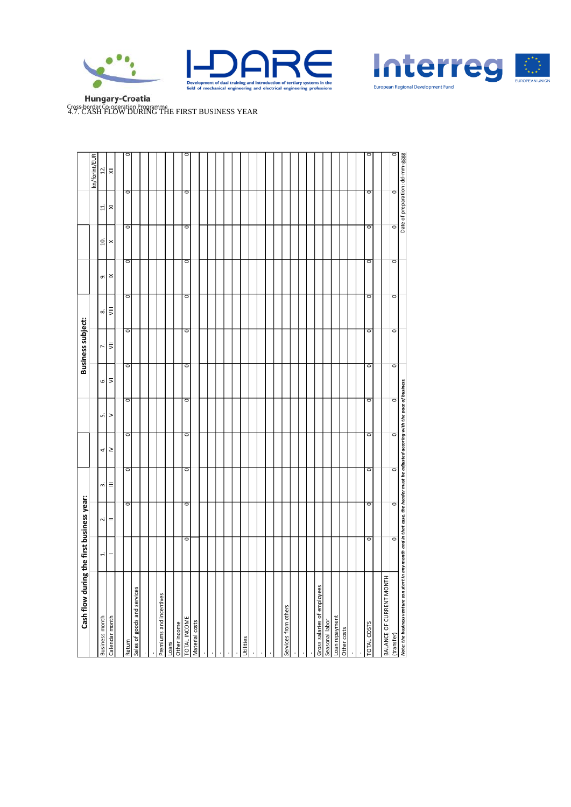





**Hungary-Croatia Cross-border Co-operation Programme**<br>4.7. CASH FLOW DURING THE FIRST BUSINESS YEAR

| Cash flow during the first business year:                                                                                          |         |                         |         |         |         |         | <b>Business subject:</b> |           |         |                   |         |                                 |
|------------------------------------------------------------------------------------------------------------------------------------|---------|-------------------------|---------|---------|---------|---------|--------------------------|-----------|---------|-------------------|---------|---------------------------------|
|                                                                                                                                    |         |                         |         |         |         |         |                          |           |         |                   |         | kn/forint/EUR                   |
| <b>Business month</b>                                                                                                              | ÷       | $\overline{\mathbf{r}}$ | ω.      | 4       | ωi      | 6.      | ŀ.                       | ∞         | ெ       | $\overline{10}$ . | ¤       | $\overline{2}$ .                |
| Calendar month                                                                                                                     |         | =                       | Ξ       | ≥       | >       | ⋝       | ₹                        | $\bar{z}$ | ×       | ×                 | ≅       | 灵                               |
|                                                                                                                                    |         |                         |         |         |         |         |                          |           |         |                   |         |                                 |
| Return                                                                                                                             |         | $\circ$                 | O       | o       | O       | o       | o                        | o         | o       | o                 | $\circ$ | c                               |
| Sales of goods and services                                                                                                        |         |                         |         |         |         |         |                          |           |         |                   |         |                                 |
|                                                                                                                                    |         |                         |         |         |         |         |                          |           |         |                   |         |                                 |
|                                                                                                                                    |         |                         |         |         |         |         |                          |           |         |                   |         |                                 |
| Premiums and incentives                                                                                                            |         |                         |         |         |         |         |                          |           |         |                   |         |                                 |
| Loans                                                                                                                              |         |                         |         |         |         |         |                          |           |         |                   |         |                                 |
| Other income                                                                                                                       |         |                         |         |         |         |         |                          |           |         |                   |         |                                 |
| <b>TOTAL INCOME</b>                                                                                                                | o       | $\circ$                 | o       | o       | O       | o       | O                        | o         | o       | o                 | $\circ$ |                                 |
| Material costs                                                                                                                     |         |                         |         |         |         |         |                          |           |         |                   |         |                                 |
|                                                                                                                                    |         |                         |         |         |         |         |                          |           |         |                   |         |                                 |
|                                                                                                                                    |         |                         |         |         |         |         |                          |           |         |                   |         |                                 |
|                                                                                                                                    |         |                         |         |         |         |         |                          |           |         |                   |         |                                 |
|                                                                                                                                    |         |                         |         |         |         |         |                          |           |         |                   |         |                                 |
|                                                                                                                                    |         |                         |         |         |         |         |                          |           |         |                   |         |                                 |
| Utilities                                                                                                                          |         |                         |         |         |         |         |                          |           |         |                   |         |                                 |
|                                                                                                                                    |         |                         |         |         |         |         |                          |           |         |                   |         |                                 |
|                                                                                                                                    |         |                         |         |         |         |         |                          |           |         |                   |         |                                 |
|                                                                                                                                    |         |                         |         |         |         |         |                          |           |         |                   |         |                                 |
|                                                                                                                                    |         |                         |         |         |         |         |                          |           |         |                   |         |                                 |
| Services from others                                                                                                               |         |                         |         |         |         |         |                          |           |         |                   |         |                                 |
|                                                                                                                                    |         |                         |         |         |         |         |                          |           |         |                   |         |                                 |
|                                                                                                                                    |         |                         |         |         |         |         |                          |           |         |                   |         |                                 |
|                                                                                                                                    |         |                         |         |         |         |         |                          |           |         |                   |         |                                 |
| Gross salaries of employees                                                                                                        |         |                         |         |         |         |         |                          |           |         |                   |         |                                 |
| Seasonal labor                                                                                                                     |         |                         |         |         |         |         |                          |           |         |                   |         |                                 |
| Loan repayment                                                                                                                     |         |                         |         |         |         |         |                          |           |         |                   |         |                                 |
| Other costs                                                                                                                        |         |                         |         |         |         |         |                          |           |         |                   |         |                                 |
|                                                                                                                                    |         |                         |         |         |         |         |                          |           |         |                   |         |                                 |
|                                                                                                                                    |         |                         |         |         |         |         |                          |           |         |                   |         |                                 |
| TOTAL COSTS                                                                                                                        | o       | $\circ$                 | O       | o       | o       | o       | $\overline{\circ}$       | o         | $\circ$ | $\circ$           | $\circ$ | c                               |
|                                                                                                                                    |         |                         |         |         |         |         |                          |           |         |                   |         |                                 |
| BALANCE OF CURRENT MONTH                                                                                                           |         |                         |         |         |         |         |                          |           |         |                   |         |                                 |
| (transfer)                                                                                                                         | $\circ$ | $\circ$                 | $\circ$ | $\circ$ | $\circ$ | $\circ$ | $\circ$                  | $\circ$   | $\circ$ | $\circ$           | $\circ$ | $\overline{\circ}$              |
| Note: the business venture can start in any month and in that case, the header must be adjusted accoring with the pace of business |         |                         |         |         |         |         |                          |           |         |                   |         | Date of preparation: dd-mm-gggg |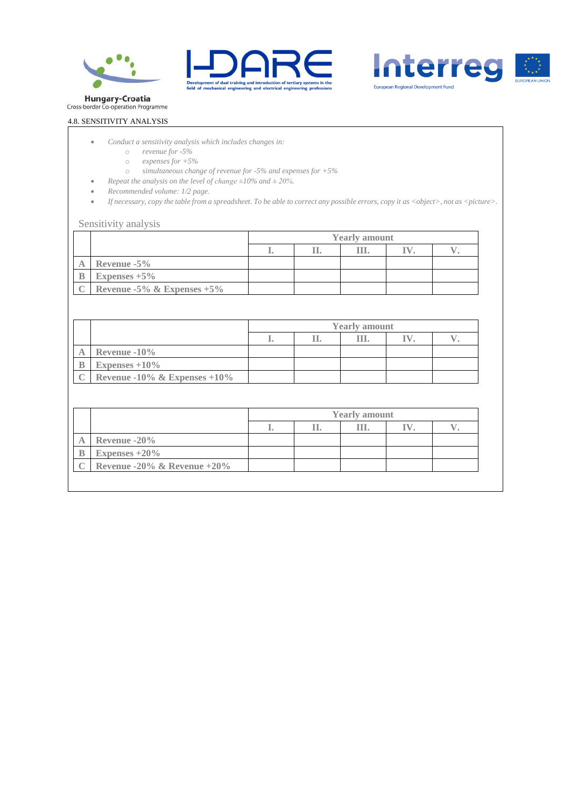





Hungary-Croatia<br>Cross-border Co-operation Programme

# 4.8. SENSITIVITY ANALYSIS

- *Conduct a sensitivity analysis which includes changes in:*
	- o *revenue for -5%*
	- o *expenses for +5%*
	- o *simultaneous change of revenue for -5% and expenses for +5%*
- *Repeat the analysis on the level of change ±10% and ± 20%.*
- *Recommended volume: 1/2 page.*
- *If necessary, copy the table from a spreadsheet. To be able to correct any possible errors, copy it as <object>, not as <picture>.*

#### Sensitivity analysis

|                               |  | <b>Yearly amount</b> |  |
|-------------------------------|--|----------------------|--|
|                               |  |                      |  |
| Revenue $-5\%$                |  |                      |  |
| Expenses $+5\%$               |  |                      |  |
| Revenue -5% & Expenses $+5\%$ |  |                      |  |

|                              |    | <b>Yearly amount</b> |  |
|------------------------------|----|----------------------|--|
|                              | a. |                      |  |
| Revenue $-10\%$              |    |                      |  |
| Expenses $+10\%$             |    |                      |  |
| Revenue -10% & Expenses +10% |    |                      |  |

|   |                             | <b>Yearly amount</b> |  |  |  |  |
|---|-----------------------------|----------------------|--|--|--|--|
|   |                             |                      |  |  |  |  |
| A | Revenue $-20\%$             |                      |  |  |  |  |
|   | Expenses $+20\%$            |                      |  |  |  |  |
|   | Revenue -20% & Revenue +20% |                      |  |  |  |  |
|   |                             |                      |  |  |  |  |